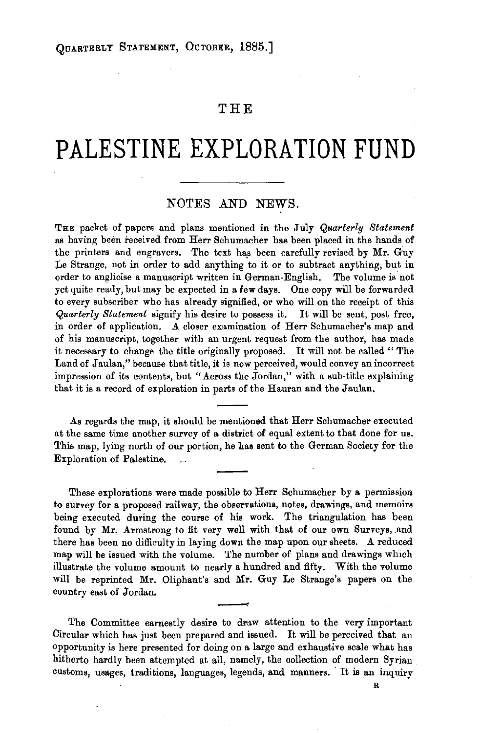## **THE**

## **PALESTINE EXPLORATION FUND**

## NOTES AND NEWS.

THE packet of papers and plans mentioned in the July *Quarterly Statement*  as having been received from Herr Schumacher has been placed in the hands of the printers and engravers. The text has been carefully revised by Mr. Guy *Le* Strange, not in order to add anything to it or to subtract anything, but in order to anglicise a manuscript written in German-English. The volume is.not yet quite ready, but may be expected in a few days. One copy will be forwarded to every subscriber who has already signified, or who will on the receipt of this *Quarterly Statement* signify his desire to possess it. It will be sent, post free, in order of application. A closer examination of Herr Schumacher's map and of his manuscript, together with an urgent request from the author, has made it necessary to change the title originally proposed. It will not be called " The Land of Jaulan," because that title, it is now perceived, would convey an incorrect impression of its contents, but "Across the Jordan," with a sub-title explaining that it is a record of exploration in parts of the Hauran and the Jaulan.

As regards the map, it should be mentioned that Herr Schumacher executed at the same time another survey of a district of equal extent to that done for us. This map, lying north of our portion, he has sent to the German Society for the Exploration of Palestine.

These explorations were made possible to Herr Schumacher by a permission to survey for a proposed railway, the observations, notes, drawings, and memoirs being executed during the course of his work. The triangulation has been found by Mr. Armstrong to fit very well with that of our own Surveys, and there has been no difficulty in laying down the map upon our sheets. A reduced map will be issued with the volume. The number of plans and drawings which illustrate the volume amount to nearly a hundred and fifty. With the volume will be reprinted Mr. Oliphant's and Mr. Guy *Le* Strange's papers on the country east of Jordan.

The Committee earnestly desire to draw attention to the very important Circular which has just been prepared and issued. It will be perceived that an opportunity is here presented for doing on a large and exhaustive scale what has hitherto hardly been attempted at all, namely, the collection of modern Syrian customs, usages, traditions, languages, legends, and manners. It is an inquiry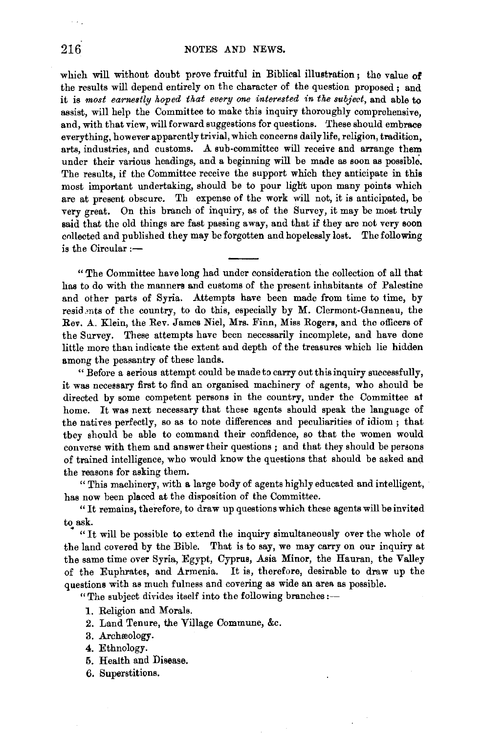which will without doubt prove fruitful in Biblical illustration; the value of the results will depend entirely on the character of the question proposed ; and it is *most earnestly hoped that every one interested in the subject,* and able to assist, will help the Committee to make this inquiry thoroughly comprehensive, and, with that view, will forward suggestions for questions. These should embrace everything, however apparently trivial, which concerns daily life, religion, tradition, arts, industries, and customs. A sub-committee will receive and arrange them under their various headings, and a beginning will be made as soon as possible. The results, if the Committee receive the support which they anticipate in this most important undertaking, should be to pour light upon many points which are at present obscure. Th expense of the work will not, it is anticipated, be very great. On this branch of inquiry, as of the Survey, it may be most truly said that the old things are fast passing away, and that if they are not very soon collected and published they may be forgotten and hopelessly lost. The following is the Circular  $:$ -

"The Committee have long had under consideration the collection of all that has to do with the manners and customs of the present inhabitants of Palestine and other parts of Syria. Attempts have been made from time to time, by residents of the country, to do this, especially by M. Clermont-Ganneau, the Rev. A. Klein, the Rev. James Niel, Mrs. Finn, Miss Rogers, and the officers of the Survey. These attempts have been necessarily incomplete, and have done little more than indicate the extent and depth of the treasures which lie hidden among the peasantry of these lands.

" Before a serious attempt could be made to carry out this inquiry successfully, it was necessary first to find an organised machinery of agents, who should be directed by some competent persons in the country, under the Committee at home. It was next necessary that these agents should speak the language of the natives perfectly, so as to note differences and peculiarities of idiom; that they should be able to command their confidence, so that the women would converse with them and answer their questions ; and that they should be persons of trained intelligence, who would know the questions that should be asked and the reasons for asking them.

"This machinery, with a large body of agents highly educated and intelligent, has now been placed at the disposition of the Committee.

"It remains, therefore, to draw up questions which these agents will be invited to ask.

"It will be possible to extend the inquiry simultaneously over the whole of the land covered by the Bible. That is to say, we may carry on our inquiry at the same time over Syria, Egypt, Cyprus, Asia Minor, the Hauran, the Valley of the Euphrates, and Armenia. It is, therefore, desirable to draw up the questions with as much fulness and covering as wide an area as possible.

"The subject divides itself into the following branches:-

- 1. Religion and Morals.
- 2. Land Tenure, the Village Commune, &c.
- 3. Archæology.
- 4. Ethnology.
- 5. Health and Disease.
- 6. Superstitions.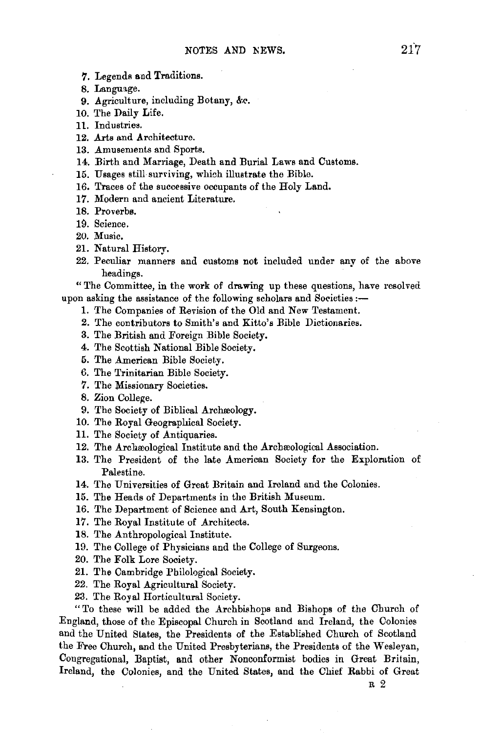- 7. Legends and Traditions.
- 8. Language.
- 9. Agriculture, including Botany, &c.
- 10. The Daily Life.
- 11. Industries.
- 12. Arts and Architecture.
- 13. Amusements and Sports.
- 14. Birth and Marriage, Death and Burial Laws and Customs.
- 15. Usages still surviving, which illustrate the Bible.
- 16. Traces of the successive occupants of the Holy Land.
- 17. Modern and ancient Literature.
- 18. Proverbs.
- 19. Science.
- 20. Music,
- 21. Natural Historv.
- 22. Peculiar manners and customs not included under any of the above headings.

"The Committee, in the work of drawing up these questions, have resolved upon asking the assistance of the following scholars and Societies :-

- 1. The Companies of Revision of the Old and New Testament.
- 2. The contributors to Smith's and Kitto's Bible Dictionaries.
- 3. The British and Foreign Bible Society.
- 4. The Scottish National Bible Society.
- 5. The American Bible Society.
- 6. The Trinitarian Bible Society.
- 7. The Missionary Societies.
- 8. Zion College.
- 9. The Society of Biblical Archreology.
- 10. The Royal Geographical Society.
- 11. The Society of Antiquaries.
- 12. The Archæological Institute and the Archæological Association.
- 13. The President of the late American Society for the Exploration of Palestine.
- 14. The Universities of Great Britain and Ireland and the Colonies.
- 15. The Heads of Departments in the British Museum.
- 16. The Department of Science and Art, South Kensington.
- 17. The Royal Institute of Architects.
- 18. The Anthropological Institute.
- 19. The College of Physicians and the College of Surgeons.
- 20. The Folk Lore Society.
- 21. The Cambridge Philological Society.
- 22. The Royal Agricultural Society.
- 23. The Royal Horticultural Society.

"To these will be added the Archbishops and Bishops of the Church of England, those of the Episcopal Church in Scotland and Ireland, the Colonies and the United States, the Presidents of the Established Church of Scotland the Free Church, and the United Presbyterians, the Presidents of the Wesleyan, Congregational, Baptist, and other Nonconformist bodies in Great Britain, Ireland, the Colonies, and the United States, and the Chief Rabbi of Great

R 2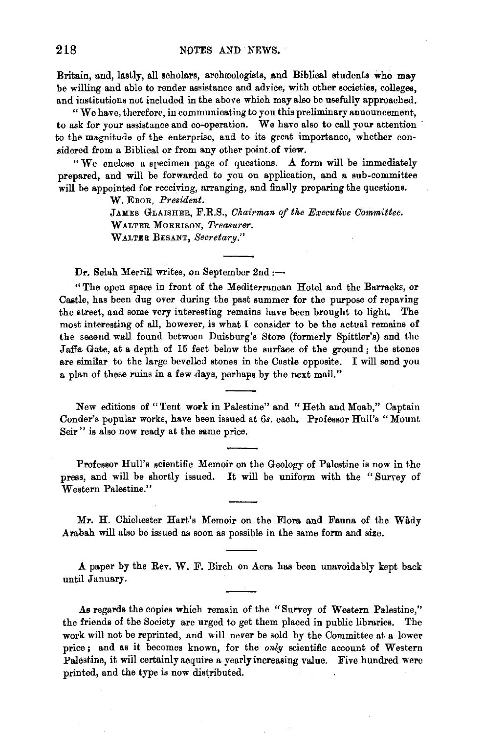Britain, and, lastly, all scholars, archreologists, and Biblical students who may be willing and able to render assistance and advice, with other societies, colleges, and institutions not included in the above which may also be usefully approached.

"We have, therefore, in communicating to you this preliminary announcement, to ask for your assistance and co-operation. We have also to call your attention to the magnitude of the enterprise, and to its great importance, whether considered from a Biblical or from any other point. of view.

"We enclose a specimen page of questions. A form will be immediately prepared, and will be forwarded to you on application, and a sub-committee will be appointed for receiving, arranging, and finally preparing the questions.

W. EBOR, President.

JAMES GLAISHER, F.R.S., *Chairman of the Executive Committee.* WALTER MoRRISON, *Treasurer.*  WALTER BESANT, Secretary."

Dr. Selah Merrill writes, on September 2nd :-

"The open space in front of the Mediterranean Hotel and the Barracks, or Castle, has been dug over during the past summer for the purpose of repaving the street, and some very interesting remains have been brought to light. The most interesting of all, however, is what I consider to be the actual remains of the second wall found between Duisburg's Store (formerly Spittler's) and the Jaffa Gate, at a depth of 15 feet below the surface of the ground; the stones are similar to the large bevelled stones in the Castle opposite. I will send you a plan of these ruins in a few days, perhaps by the next mail."

New editions of "Tent work in Palestine" and " Heth and Moab," Captain Conder's popular works, have been issued at 6s. each. Professor Hull's "Mount Seir " is also now ready at the same price.

Professor Hull's scientific Memoir on the Geology of Palestine is now in the press, and will be shortly issued. It will be uniform with the " Surrey of Western Palestine."

Mr. H. Chichester Hart's Memoir on the Flora and Fauna of the Wady .Arabah will also be issued as soon as possible in the same form and size.

A paper by the Rev. W. F. Birch on Acra has been unavoidably kept back until January.

As regards the copies which remain of the "Survey of Western Palestine," the friends of the Society are urged to get them placed in public libraries. The work will not be reprinted, and will never be sold by the Committee at a lower price; and as it becomes known, for the *only* scientific account of Western Palestine, it wiil certainly acquire a yearly increasing value. Five hundred were printed, and the type is now distributed.